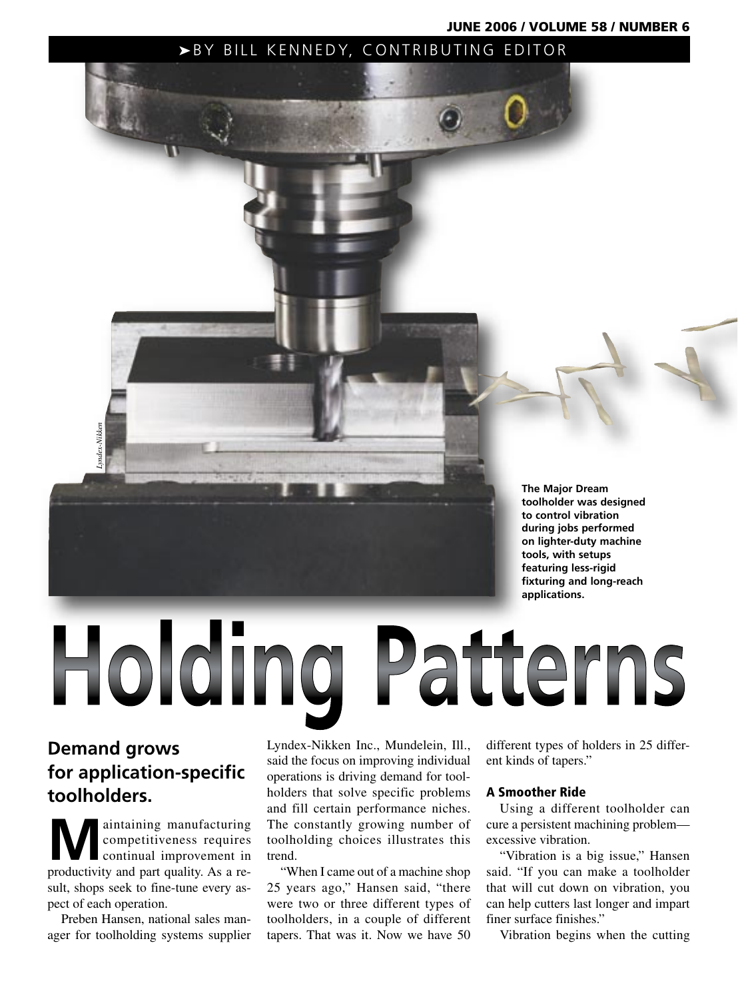JUNE 2006 / VOLUME 58 / NUMBER 6

**The Major Dream toolholder was designed to control vibration during jobs performed on lighter-duty machine tools, with setups featuring less-rigid fixturing and long-reach applications.**

# **Demand grows for application-specific toolholders.**

Holding

*Lyndex-Nikken*

mdex-Nikke

**M**aintaining manufacturing<br>competitiveness requires<br>continual improvement in competitiveness requires continual improvement in productivity and part quality. As a result, shops seek to fine-tune every aspect of each operation.

Preben Hansen, national sales manager for toolholding systems supplier Lyndex-Nikken Inc., Mundelein, Ill., said the focus on improving individual operations is driving demand for toolholders that solve specific problems and fill certain performance niches. The constantly growing number of toolholding choices illustrates this trend.

▶BY BILL KENNEDY, CONTRIBUTING EDITOR

"When I came out of a machine shop 25 years ago," Hansen said, "there were two or three different types of toolholders, in a couple of different tapers. That was it. Now we have 50 different types of holders in 25 different kinds of tapers."

#### A Smoother Ride

Patterns

Using a different toolholder can cure a persistent machining problem excessive vibration.

"Vibration is a big issue," Hansen said. "If you can make a toolholder that will cut down on vibration, you can help cutters last longer and impart finer surface finishes."

Vibration begins when the cutting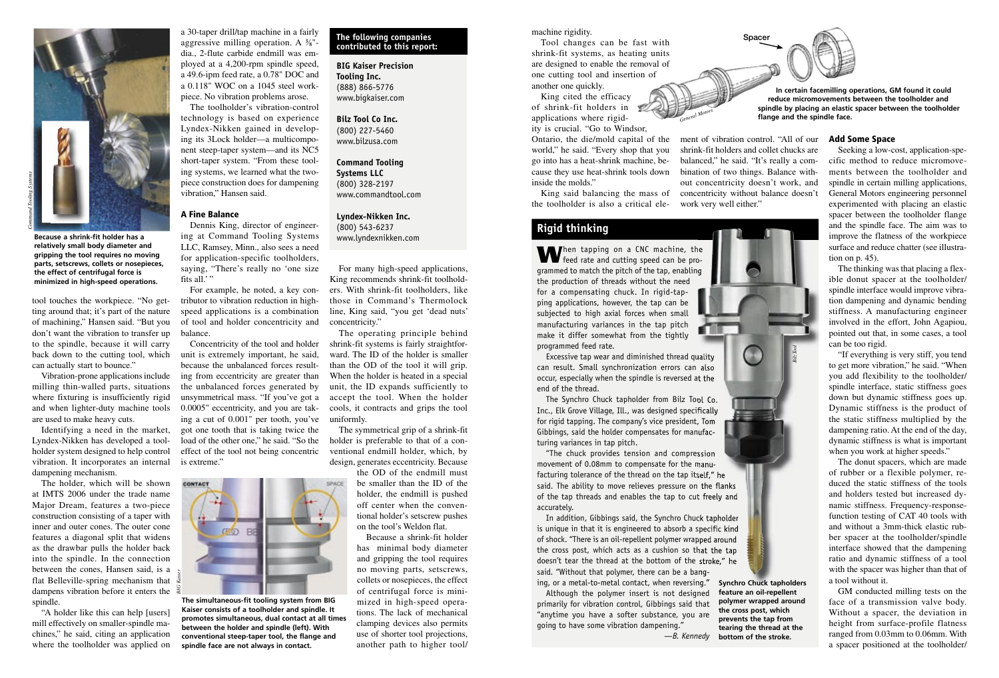*Command Tooling Systems*

**Because a shrink-fit holder has a relatively small body diameter and gripping the tool requires no moving parts, setscrews, collets or nosepieces, the effect of centrifugal force is minimized in high-speed operations.** 

tool touches the workpiece. "No getting around that; it's part of the nature of machining," Hansen said. "But you don't want the vibration to transfer up to the spindle, because it will carry back down to the cutting tool, which

Vibration-prone applications include milling thin-walled parts, situations where fixturing is insufficiently rigid and when lighter-duty machine tools

Identifying a need in the market, Lyndex-Nikken has developed a toolholder system designed to help control vibration. It incorporates an internal

The holder, which will be shown at IMTS 2006 under the trade name Major Dream, features a two-piece construction consisting of a taper with inner and outer cones. The outer cone features a diagonal split that widens as the drawbar pulls the holder back into the spindle. In the connection between the cones, Hansen said, is a flat Belleville-spring mechanism that

"A holder like this can help [users] mill effectively on smaller-spindle machines," he said, citing an application where the toolholder was applied on

can actually start to bounce."

are used to make heavy cuts.

dampening mechanism.

spindle.

technology is based on experience Lyndex-Nikken gained in developing its 3Lock holder—a multicomponent steep-taper system—and its NC5 short-taper system. "From these tooling systems, we learned what the twopiece construction does for dampening vibration," Hansen said.

#### A Fine Balance

Dennis King, director of engineering at Command Tooling Systems LLC, Ramsey, Minn., also sees a need for application-specific toolholders, saying, "There's really no 'one size fits all.'"

For example, he noted, a key contributor to vibration reduction in highspeed applications is a combination of tool and holder concentricity and balance.

Concentricity of the tool and holder unit is extremely important, he said, because the unbalanced forces resulting from eccentricity are greater than the unbalanced forces generated by unsymmetrical mass. "If you've got a 0.0005" eccentricity, and you are taking a cut of 0.001" per tooth, you've got one tooth that is taking twice the load of the other one," he said. "So the effect of the tool not being concentric is extreme."



**The simultaneous-fit tooling system from BIG Kaiser consists of a toolholder and spindle. It promotes simultaneous, dual contact at all times between the holder and spindle (left). With conventional steep-taper tool, the flange and spindle face are not always in contact.**

#### **The following companies contributed to this report:**

**BIG Kaiser Precision Tooling Inc.** (888) 866-5776 www.bigkaiser.com

**Bilz Tool Co Inc.** (800) 227-5460 www.bilzusa.com

**Command Tooling Systems LLC** (800) 328-2197 www.commandtool.com

**Lyndex-Nikken Inc.** (800) 543-6237 www.lyndexnikken.com

For many high-speed applications, King recommends shrink-fit toolholders. With shrink-fit toolholders, like those in Command's Thermolock line, King said, "you get 'dead nuts' concentricity."

The operating principle behind shrink-fit systems is fairly straightforward. The ID of the holder is smaller than the OD of the tool it will grip. When the holder is heated in a special unit, the ID expands sufficiently to accept the tool. When the holder cools, it contracts and grips the tool uniformly.

The symmetrical grip of a shrink-fit holder is preferable to that of a conventional endmill holder, which, by design, generates eccentricity. Because the OD of the endmill must

be smaller than the ID of the holder, the endmill is pushed off center when the conventional holder's setscrew pushes on the tool's Weldon flat.

Because a shrink-fit holder has minimal body diameter and gripping the tool requires no moving parts, setscrews, collets or nosepieces, the effect of centrifugal force is minimized in high-speed operations. The lack of mechanical clamping devices also permits use of shorter tool projections, another path to higher tool/

### machine rigidity.

Tool changes can be fast with shrink-fit systems, as heating units are designed to enable the removal of one cutting tool and insertion of another one quickly.

King cited the efficacy of shrink-fit holders in applications where rigidity is crucial. "Go to Windsor, Ontario, the die/mold capital of the ment of vibration control. "All of our **Add Some Space** world," he said. "Every shop that you go into has a heat-shrink machine, be-

cause they use heat-shrink tools down inside the molds." King said balancing the mass of

the toolholder is also a critical ele-

## **Rigid thinking**

When tapping on a CNC machine, the feed rate and cutting speed can be programmed to match the pitch of the tap, enabling grammed to match the pitch of the tap, the production of threads without the need for a compensating chuck. In rigid-tapping applications, however, the tap can be subjected to high axial forces when small manufacturing variances in the tap pitch make it differ somewhat from the tightly programmed feed rate. hen tapping on a CNC machine,

can result. Small synchronization errors can also can result. Small synchronization errors can occur, especially when the spindle is reversed at the end of the thread. cur, especially when the spindle is reversed at the<br>d of the thread.<br>The Synchro Chuck tapholder from Bilz Tool Co.

Inc., Elk Grove Village, Ill., was designed specifically for rigid tapping. The company's vice president, Tom Gibbings, said the holder compensates for manufac-manufac turing variances in tap pitch.

"The chuck provides tension and compression "The chuck provides tension and movement of 0.08mm to compensate for the manufacturing tolerance of the thread on the tap itself," he said. The ability to move relieves pressure on the flanks of the tap threads and enables the tap to cut freely and accurately. In turing tolerance of the thread on the tap itself," he<br>
id. The ability to move relieves pressure on the flanks<br>
the tap threads and enables the tap to cut freely and<br>
Lurately.<br>
In addition, Gibbings said, the Synchro C

is unique in that it is engineered to absorb a specific kind is unique in that it is engineered to absorb a specific kind of shock. "There is an oil-repellent polymer wrapped around of shock. "There is an oil-repellent polymer wrapped around the cross post, which acts as a cushion so that the tap the cross post, which acts as a cushion so that the tap doesn't tear the thread at the bottom of the stroke," he doesn't tear the thread at the bottom of the stroke," he said. "Without that polymer, there can be a bang-said. "Without that polymer, there can be a

Although the polymer insert is not designed primarily for vibration control, Gibbings said that "anytime you have a softer substance, you are going to have some vibration dampening."

**In certain facemilling operations, GM found it could reduce micromovements between the toolholder and spindle by placing an elastic spacer between the toolholder flange and the spindle face.** 

balanced," he said. "It's really a combination of two things. Balance without concentricity doesn't work, and concentricity without balance doesn't

Spacer

work very well either."

shrink-fit holders and collet chucks are

Seeking a low-cost, application-specific method to reduce micromovements between the toolholder and spindle in certain milling applications, General Motors engineering personnel experimented with placing an elastic spacer between the toolholder flange and the spindle face. The aim was to improve the flatness of the workpiece surface and reduce chatter (see illustration on p. 45).

The thinking was that placing a flexible donut spacer at the toolholder/ spindle interface would improve vibration dampening and dynamic bending stiffness. A manufacturing engineer involved in the effort, John Agapiou, pointed out that, in some cases, a tool can be too rigid.

"If everything is very stiff, you tend to get more vibration," he said. "When you add flexibility to the toolholder/ spindle interface, static stiffness goes down but dynamic stiffness goes up. Dynamic stiffness is the product of the static stiffness multiplied by the dampening ratio. At the end of the day, dynamic stiffness is what is important when you work at higher speeds."

The donut spacers, which are made of rubber or a flexible polymer, reduced the static stiffness of the tools and holders tested but increased dynamic stiffness. Frequency-responsefunction testing of CAT 40 tools with and without a 3mm-thick elastic rubber spacer at the toolholder/spindle interface showed that the dampening ratio and dynamic stiffness of a tool with the spacer was higher than that of a tool without it.

GM conducted milling tests on the face of a transmission valve body. Without a spacer, the deviation in height from surface-profile flatness ranged from 0.03mm to 0.06mm. With a spacer positioned at the toolholder/



Excessive tap wear and diminished thread quality